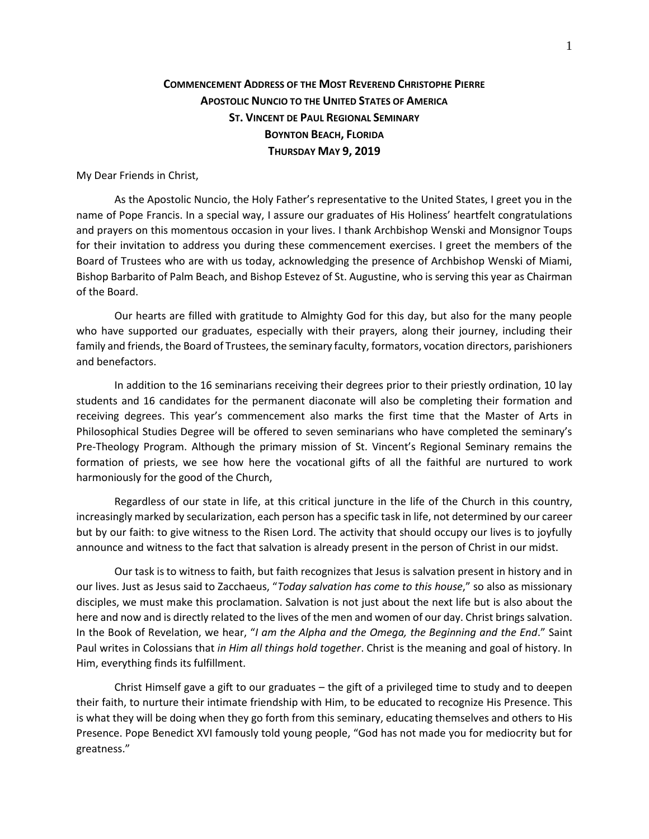## **COMMENCEMENT ADDRESS OF THE MOST REVEREND CHRISTOPHE PIERRE APOSTOLIC NUNCIO TO THE UNITED STATES OF AMERICA ST. VINCENT DE PAUL REGIONAL SEMINARY BOYNTON BEACH, FLORIDA THURSDAY MAY 9, 2019**

My Dear Friends in Christ,

As the Apostolic Nuncio, the Holy Father's representative to the United States, I greet you in the name of Pope Francis. In a special way, I assure our graduates of His Holiness' heartfelt congratulations and prayers on this momentous occasion in your lives. I thank Archbishop Wenski and Monsignor Toups for their invitation to address you during these commencement exercises. I greet the members of the Board of Trustees who are with us today, acknowledging the presence of Archbishop Wenski of Miami, Bishop Barbarito of Palm Beach, and Bishop Estevez of St. Augustine, who is serving this year as Chairman of the Board.

Our hearts are filled with gratitude to Almighty God for this day, but also for the many people who have supported our graduates, especially with their prayers, along their journey, including their family and friends, the Board of Trustees, the seminary faculty, formators, vocation directors, parishioners and benefactors.

In addition to the 16 seminarians receiving their degrees prior to their priestly ordination, 10 lay students and 16 candidates for the permanent diaconate will also be completing their formation and receiving degrees. This year's commencement also marks the first time that the Master of Arts in Philosophical Studies Degree will be offered to seven seminarians who have completed the seminary's Pre-Theology Program. Although the primary mission of St. Vincent's Regional Seminary remains the formation of priests, we see how here the vocational gifts of all the faithful are nurtured to work harmoniously for the good of the Church,

Regardless of our state in life, at this critical juncture in the life of the Church in this country, increasingly marked by secularization, each person has a specific task in life, not determined by our career but by our faith: to give witness to the Risen Lord. The activity that should occupy our lives is to joyfully announce and witness to the fact that salvation is already present in the person of Christ in our midst.

Our task is to witness to faith, but faith recognizes that Jesus is salvation present in history and in our lives. Just as Jesus said to Zacchaeus, "*Today salvation has come to this house*," so also as missionary disciples, we must make this proclamation. Salvation is not just about the next life but is also about the here and now and is directly related to the lives of the men and women of our day. Christ brings salvation. In the Book of Revelation, we hear, "*I am the Alpha and the Omega, the Beginning and the End*." Saint Paul writes in Colossians that *in Him all things hold together*. Christ is the meaning and goal of history. In Him, everything finds its fulfillment.

Christ Himself gave a gift to our graduates – the gift of a privileged time to study and to deepen their faith, to nurture their intimate friendship with Him, to be educated to recognize His Presence. This is what they will be doing when they go forth from this seminary, educating themselves and others to His Presence. Pope Benedict XVI famously told young people, "God has not made you for mediocrity but for greatness."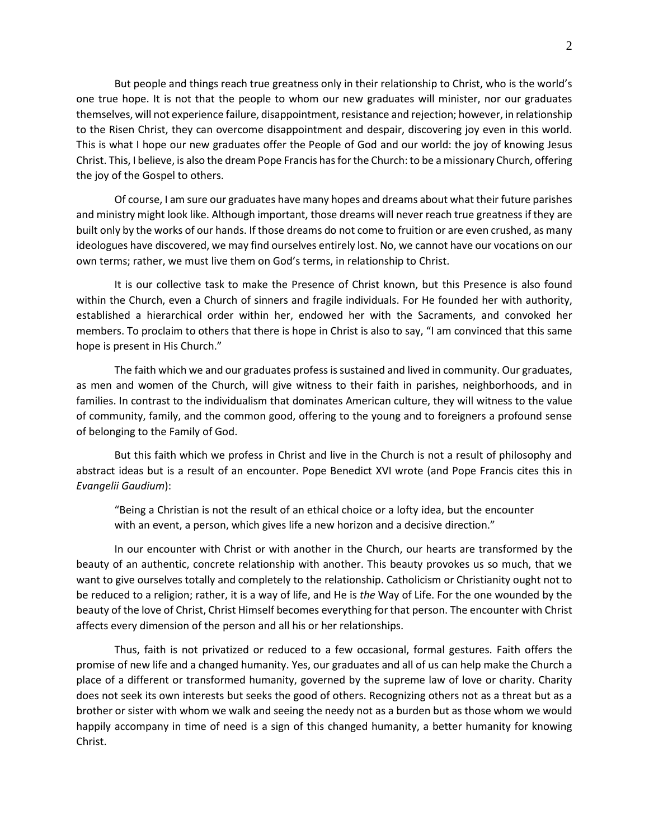But people and things reach true greatness only in their relationship to Christ, who is the world's one true hope. It is not that the people to whom our new graduates will minister, nor our graduates themselves, will not experience failure, disappointment, resistance and rejection; however, in relationship to the Risen Christ, they can overcome disappointment and despair, discovering joy even in this world. This is what I hope our new graduates offer the People of God and our world: the joy of knowing Jesus Christ. This, I believe, is also the dream Pope Francis has for the Church: to be a missionary Church, offering the joy of the Gospel to others.

Of course, I am sure our graduates have many hopes and dreams about what their future parishes and ministry might look like. Although important, those dreams will never reach true greatness if they are built only by the works of our hands. If those dreams do not come to fruition or are even crushed, as many ideologues have discovered, we may find ourselves entirely lost. No, we cannot have our vocations on our own terms; rather, we must live them on God's terms, in relationship to Christ.

It is our collective task to make the Presence of Christ known, but this Presence is also found within the Church, even a Church of sinners and fragile individuals. For He founded her with authority, established a hierarchical order within her, endowed her with the Sacraments, and convoked her members. To proclaim to others that there is hope in Christ is also to say, "I am convinced that this same hope is present in His Church."

The faith which we and our graduates profess is sustained and lived in community. Our graduates, as men and women of the Church, will give witness to their faith in parishes, neighborhoods, and in families. In contrast to the individualism that dominates American culture, they will witness to the value of community, family, and the common good, offering to the young and to foreigners a profound sense of belonging to the Family of God.

But this faith which we profess in Christ and live in the Church is not a result of philosophy and abstract ideas but is a result of an encounter. Pope Benedict XVI wrote (and Pope Francis cites this in *Evangelii Gaudium*):

"Being a Christian is not the result of an ethical choice or a lofty idea, but the encounter with an event, a person, which gives life a new horizon and a decisive direction."

In our encounter with Christ or with another in the Church, our hearts are transformed by the beauty of an authentic, concrete relationship with another. This beauty provokes us so much, that we want to give ourselves totally and completely to the relationship. Catholicism or Christianity ought not to be reduced to a religion; rather, it is a way of life, and He is *the* Way of Life. For the one wounded by the beauty of the love of Christ, Christ Himself becomes everything for that person. The encounter with Christ affects every dimension of the person and all his or her relationships.

Thus, faith is not privatized or reduced to a few occasional, formal gestures. Faith offers the promise of new life and a changed humanity. Yes, our graduates and all of us can help make the Church a place of a different or transformed humanity, governed by the supreme law of love or charity. Charity does not seek its own interests but seeks the good of others. Recognizing others not as a threat but as a brother or sister with whom we walk and seeing the needy not as a burden but as those whom we would happily accompany in time of need is a sign of this changed humanity, a better humanity for knowing Christ.